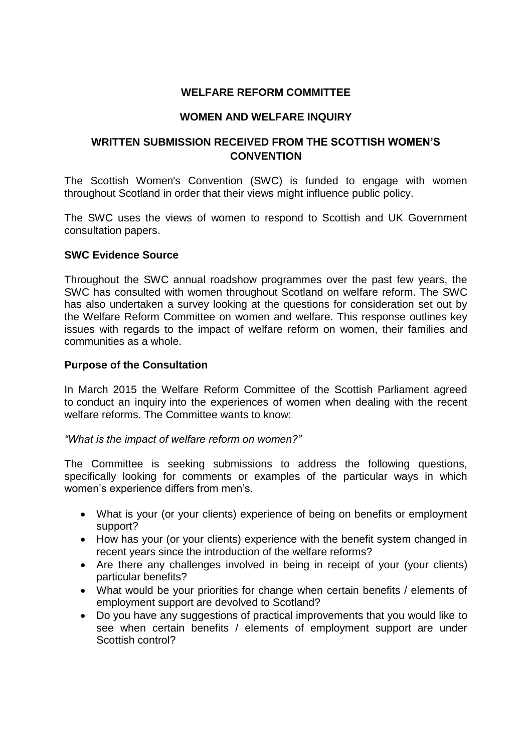## **WELFARE REFORM COMMITTEE**

#### **WOMEN AND WELFARE INQUIRY**

# **WRITTEN SUBMISSION RECEIVED FROM THE SCOTTISH WOMEN'S CONVENTION**

The Scottish Women's Convention (SWC) is funded to engage with women throughout Scotland in order that their views might influence public policy.

The SWC uses the views of women to respond to Scottish and UK Government consultation papers.

#### **SWC Evidence Source**

Throughout the SWC annual roadshow programmes over the past few years, the SWC has consulted with women throughout Scotland on welfare reform. The SWC has also undertaken a survey looking at the questions for consideration set out by the Welfare Reform Committee on women and welfare. This response outlines key issues with regards to the impact of welfare reform on women, their families and communities as a whole.

#### **Purpose of the Consultation**

In March 2015 the Welfare Reform Committee of the Scottish Parliament agreed to conduct an inquiry into the experiences of women when dealing with the recent welfare reforms. The Committee wants to know:

*"What is the impact of welfare reform on women?"*

The Committee is seeking submissions to address the following questions, specifically looking for comments or examples of the particular ways in which women's experience differs from men's.

- What is your (or your clients) experience of being on benefits or employment support?
- How has your (or your clients) experience with the benefit system changed in recent years since the introduction of the welfare reforms?
- Are there any challenges involved in being in receipt of your (your clients) particular benefits?
- What would be your priorities for change when certain benefits / elements of employment support are devolved to Scotland?
- Do you have any suggestions of practical improvements that you would like to see when certain benefits / elements of employment support are under Scottish control?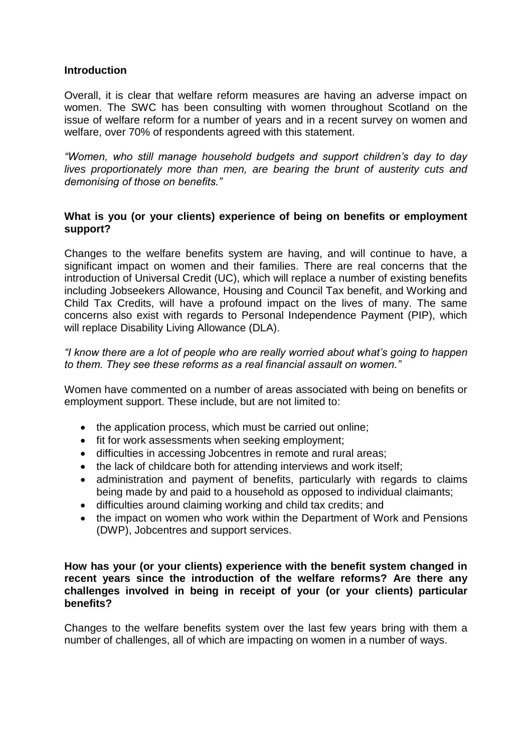#### **Introduction**

Overall, it is clear that welfare reform measures are having an adverse impact on women. The SWC has been consulting with women throughout Scotland on the issue of welfare reform for a number of years and in a recent survey on women and welfare, over 70% of respondents agreed with this statement.

*"Women, who still manage household budgets and support children's day to day lives proportionately more than men, are bearing the brunt of austerity cuts and demonising of those on benefits."*

## **What is you (or your clients) experience of being on benefits or employment support?**

Changes to the welfare benefits system are having, and will continue to have, a significant impact on women and their families. There are real concerns that the introduction of Universal Credit (UC), which will replace a number of existing benefits including Jobseekers Allowance, Housing and Council Tax benefit, and Working and Child Tax Credits, will have a profound impact on the lives of many. The same concerns also exist with regards to Personal Independence Payment (PIP), which will replace Disability Living Allowance (DLA).

*"I know there are a lot of people who are really worried about what's going to happen to them. They see these reforms as a real financial assault on women."*

Women have commented on a number of areas associated with being on benefits or employment support. These include, but are not limited to:

- the application process, which must be carried out online;
- fit for work assessments when seeking employment;
- difficulties in accessing Jobcentres in remote and rural areas;
- the lack of childcare both for attending interviews and work itself;
- administration and payment of benefits, particularly with regards to claims being made by and paid to a household as opposed to individual claimants;
- difficulties around claiming working and child tax credits; and
- the impact on women who work within the Department of Work and Pensions (DWP), Jobcentres and support services.

#### **How has your (or your clients) experience with the benefit system changed in recent years since the introduction of the welfare reforms? Are there any challenges involved in being in receipt of your (or your clients) particular benefits?**

Changes to the welfare benefits system over the last few years bring with them a number of challenges, all of which are impacting on women in a number of ways.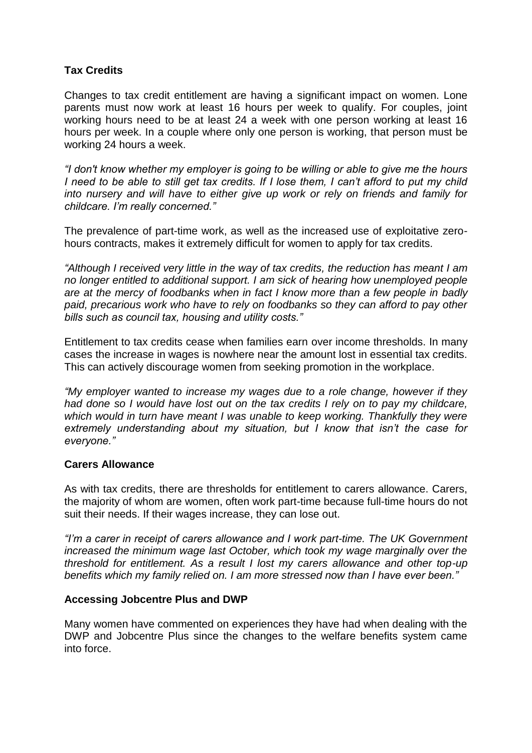# **Tax Credits**

Changes to tax credit entitlement are having a significant impact on women. Lone parents must now work at least 16 hours per week to qualify. For couples, joint working hours need to be at least 24 a week with one person working at least 16 hours per week. In a couple where only one person is working, that person must be working 24 hours a week.

*"I don't know whether my employer is going to be willing or able to give me the hours I* need to be able to still get tax credits. If I lose them, I can't afford to put my child *into nursery and will have to either give up work or rely on friends and family for childcare. I'm really concerned."*

The prevalence of part-time work, as well as the increased use of exploitative zerohours contracts, makes it extremely difficult for women to apply for tax credits.

*"Although I received very little in the way of tax credits, the reduction has meant I am no longer entitled to additional support. I am sick of hearing how unemployed people are at the mercy of foodbanks when in fact I know more than a few people in badly paid, precarious work who have to rely on foodbanks so they can afford to pay other bills such as council tax, housing and utility costs."*

Entitlement to tax credits cease when families earn over income thresholds. In many cases the increase in wages is nowhere near the amount lost in essential tax credits. This can actively discourage women from seeking promotion in the workplace.

*"My employer wanted to increase my wages due to a role change, however if they had done so I would have lost out on the tax credits I rely on to pay my childcare, which would in turn have meant I was unable to keep working. Thankfully they were extremely understanding about my situation, but I know that isn't the case for everyone."*

## **Carers Allowance**

As with tax credits, there are thresholds for entitlement to carers allowance. Carers, the majority of whom are women, often work part-time because full-time hours do not suit their needs. If their wages increase, they can lose out.

*"I'm a carer in receipt of carers allowance and I work part-time. The UK Government increased the minimum wage last October, which took my wage marginally over the threshold for entitlement. As a result I lost my carers allowance and other top-up benefits which my family relied on. I am more stressed now than I have ever been."*

## **Accessing Jobcentre Plus and DWP**

Many women have commented on experiences they have had when dealing with the DWP and Jobcentre Plus since the changes to the welfare benefits system came into force.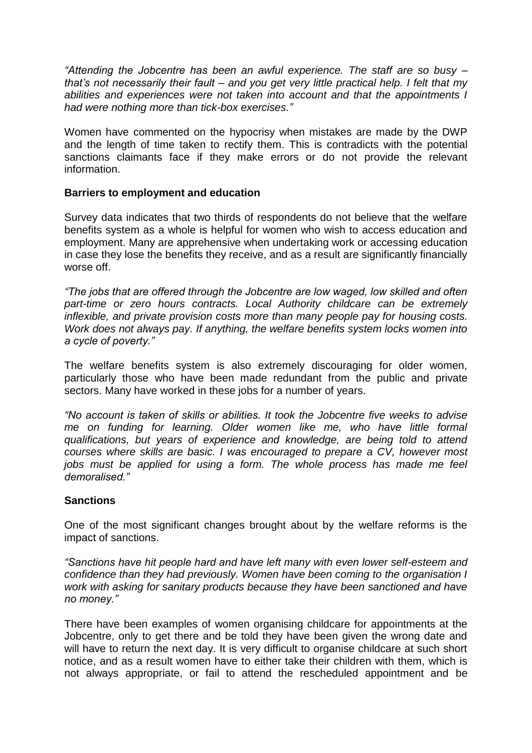*"Attending the Jobcentre has been an awful experience. The staff are so busy – that's not necessarily their fault – and you get very little practical help. I felt that my abilities and experiences were not taken into account and that the appointments I had were nothing more than tick-box exercises."*

Women have commented on the hypocrisy when mistakes are made by the DWP and the length of time taken to rectify them. This is contradicts with the potential sanctions claimants face if they make errors or do not provide the relevant information.

## **Barriers to employment and education**

Survey data indicates that two thirds of respondents do not believe that the welfare benefits system as a whole is helpful for women who wish to access education and employment. Many are apprehensive when undertaking work or accessing education in case they lose the benefits they receive, and as a result are significantly financially worse off.

*"The jobs that are offered through the Jobcentre are low waged, low skilled and often part-time or zero hours contracts. Local Authority childcare can be extremely inflexible, and private provision costs more than many people pay for housing costs. Work does not always pay. If anything, the welfare benefits system locks women into a cycle of poverty."*

The welfare benefits system is also extremely discouraging for older women, particularly those who have been made redundant from the public and private sectors. Many have worked in these jobs for a number of years.

*"No account is taken of skills or abilities. It took the Jobcentre five weeks to advise me on funding for learning. Older women like me, who have little formal qualifications, but years of experience and knowledge, are being told to attend courses where skills are basic. I was encouraged to prepare a CV, however most jobs must be applied for using a form. The whole process has made me feel demoralised."*

## **Sanctions**

One of the most significant changes brought about by the welfare reforms is the impact of sanctions.

*"Sanctions have hit people hard and have left many with even lower self-esteem and confidence than they had previously. Women have been coming to the organisation I work with asking for sanitary products because they have been sanctioned and have no money."*

There have been examples of women organising childcare for appointments at the Jobcentre, only to get there and be told they have been given the wrong date and will have to return the next day. It is very difficult to organise childcare at such short notice, and as a result women have to either take their children with them, which is not always appropriate, or fail to attend the rescheduled appointment and be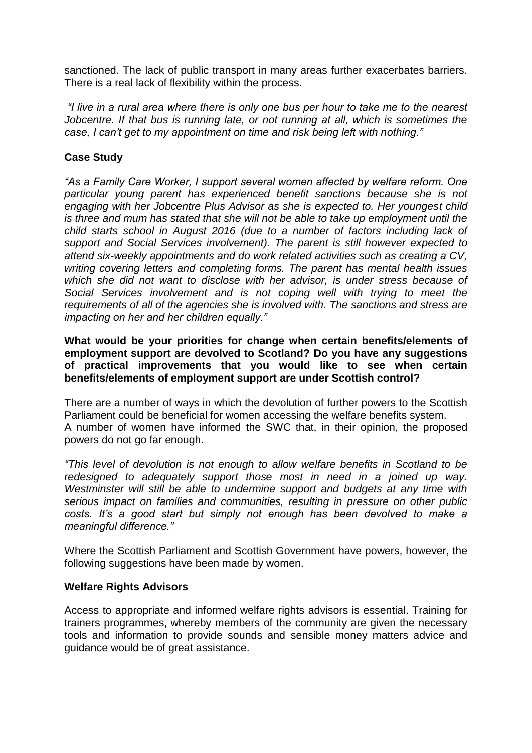sanctioned. The lack of public transport in many areas further exacerbates barriers. There is a real lack of flexibility within the process.

*"I live in a rural area where there is only one bus per hour to take me to the nearest Jobcentre. If that bus is running late, or not running at all, which is sometimes the case, I can't get to my appointment on time and risk being left with nothing."*

## **Case Study**

*"As a Family Care Worker, I support several women affected by welfare reform. One particular young parent has experienced benefit sanctions because she is not engaging with her Jobcentre Plus Advisor as she is expected to. Her youngest child is three and mum has stated that she will not be able to take up employment until the child starts school in August 2016 (due to a number of factors including lack of support and Social Services involvement). The parent is still however expected to attend six-weekly appointments and do work related activities such as creating a CV, writing covering letters and completing forms. The parent has mental health issues which she did not want to disclose with her advisor, is under stress because of Social Services involvement and is not coping well with trying to meet the requirements of all of the agencies she is involved with. The sanctions and stress are impacting on her and her children equally."*

**What would be your priorities for change when certain benefits/elements of employment support are devolved to Scotland? Do you have any suggestions of practical improvements that you would like to see when certain benefits/elements of employment support are under Scottish control?**

There are a number of ways in which the devolution of further powers to the Scottish Parliament could be beneficial for women accessing the welfare benefits system. A number of women have informed the SWC that, in their opinion, the proposed powers do not go far enough.

*"This level of devolution is not enough to allow welfare benefits in Scotland to be redesigned to adequately support those most in need in a joined up way. Westminster will still be able to undermine support and budgets at any time with serious impact on families and communities, resulting in pressure on other public*  costs. It's a good start but simply not enough has been devolved to make a *meaningful difference."*

Where the Scottish Parliament and Scottish Government have powers, however, the following suggestions have been made by women.

## **Welfare Rights Advisors**

Access to appropriate and informed welfare rights advisors is essential. Training for trainers programmes, whereby members of the community are given the necessary tools and information to provide sounds and sensible money matters advice and guidance would be of great assistance.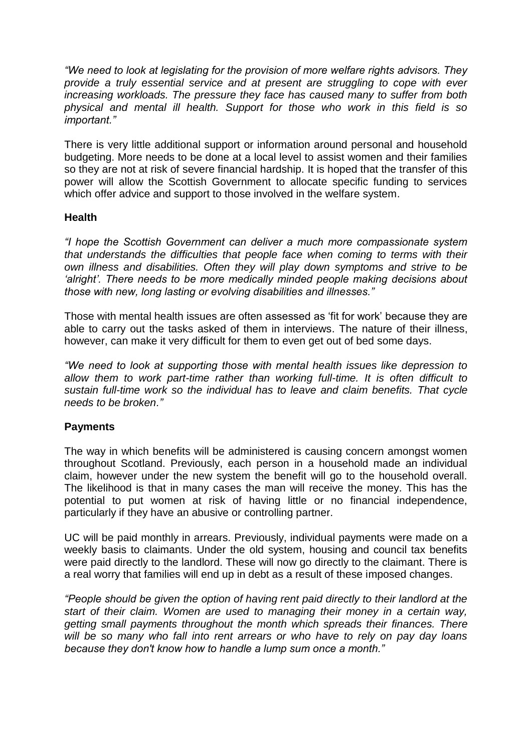*"We need to look at legislating for the provision of more welfare rights advisors. They provide a truly essential service and at present are struggling to cope with ever increasing workloads. The pressure they face has caused many to suffer from both physical and mental ill health. Support for those who work in this field is so important."*

There is very little additional support or information around personal and household budgeting. More needs to be done at a local level to assist women and their families so they are not at risk of severe financial hardship. It is hoped that the transfer of this power will allow the Scottish Government to allocate specific funding to services which offer advice and support to those involved in the welfare system.

## **Health**

*"I hope the Scottish Government can deliver a much more compassionate system that understands the difficulties that people face when coming to terms with their own illness and disabilities. Often they will play down symptoms and strive to be 'alright'. There needs to be more medically minded people making decisions about those with new, long lasting or evolving disabilities and illnesses."*

Those with mental health issues are often assessed as 'fit for work' because they are able to carry out the tasks asked of them in interviews. The nature of their illness, however, can make it very difficult for them to even get out of bed some days.

*"We need to look at supporting those with mental health issues like depression to allow them to work part-time rather than working full-time. It is often difficult to sustain full-time work so the individual has to leave and claim benefits. That cycle needs to be broken."*

# **Payments**

The way in which benefits will be administered is causing concern amongst women throughout Scotland. Previously, each person in a household made an individual claim, however under the new system the benefit will go to the household overall. The likelihood is that in many cases the man will receive the money. This has the potential to put women at risk of having little or no financial independence, particularly if they have an abusive or controlling partner.

UC will be paid monthly in arrears. Previously, individual payments were made on a weekly basis to claimants. Under the old system, housing and council tax benefits were paid directly to the landlord. These will now go directly to the claimant. There is a real worry that families will end up in debt as a result of these imposed changes.

*"People should be given the option of having rent paid directly to their landlord at the start of their claim. Women are used to managing their money in a certain way, getting small payments throughout the month which spreads their finances. There will be so many who fall into rent arrears or who have to rely on pay day loans because they don't know how to handle a lump sum once a month."*